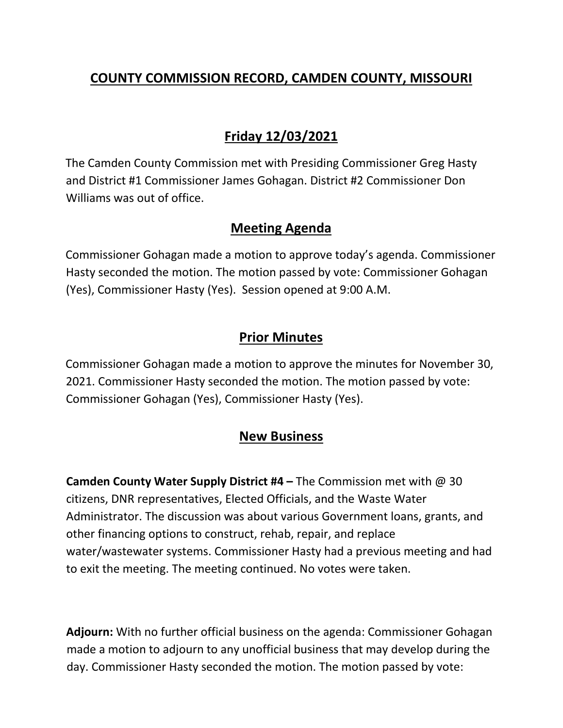## **COUNTY COMMISSION RECORD, CAMDEN COUNTY, MISSOURI**

# **Friday 12/03/2021**

The Camden County Commission met with Presiding Commissioner Greg Hasty and District #1 Commissioner James Gohagan. District #2 Commissioner Don Williams was out of office.

### **Meeting Agenda**

Commissioner Gohagan made a motion to approve today's agenda. Commissioner Hasty seconded the motion. The motion passed by vote: Commissioner Gohagan (Yes), Commissioner Hasty (Yes). Session opened at 9:00 A.M.

### **Prior Minutes**

Commissioner Gohagan made a motion to approve the minutes for November 30, 2021. Commissioner Hasty seconded the motion. The motion passed by vote: Commissioner Gohagan (Yes), Commissioner Hasty (Yes).

### **New Business**

**Camden County Water Supply District #4 –** The Commission met with @ 30 citizens, DNR representatives, Elected Officials, and the Waste Water Administrator. The discussion was about various Government loans, grants, and other financing options to construct, rehab, repair, and replace water/wastewater systems. Commissioner Hasty had a previous meeting and had to exit the meeting. The meeting continued. No votes were taken.

**Adjourn:** With no further official business on the agenda: Commissioner Gohagan made a motion to adjourn to any unofficial business that may develop during the day. Commissioner Hasty seconded the motion. The motion passed by vote: